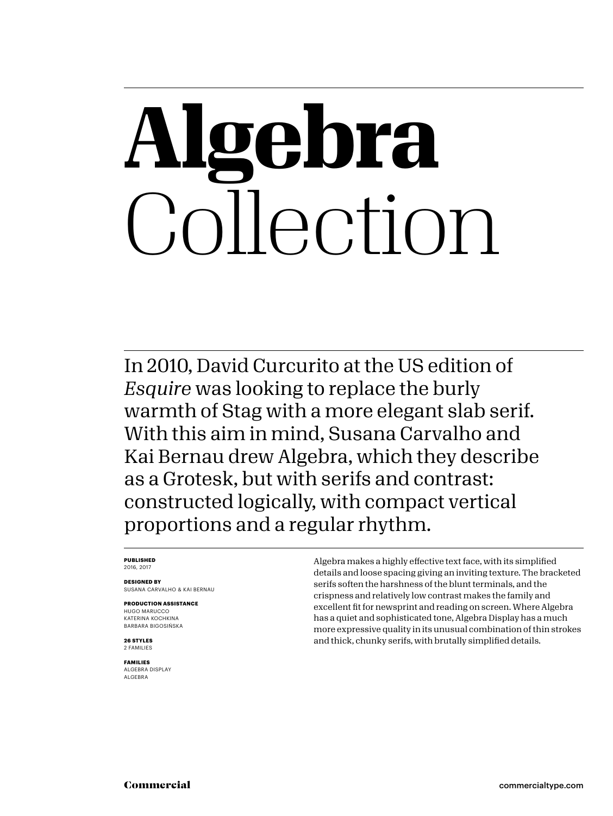## **Algebra** Collection

In 2010, David Curcurito at the US edition of *Esquire* was looking to replace the burly warmth of Stag with a more elegant slab serif. With this aim in mind, Susana Carvalho and Kai Bernau drew Algebra, which they describe as a Grotesk, but with serifs and contrast: constructed logically, with compact vertical proportions and a regular rhythm.

### **PUBLISHED** 2016, 2017

**DESIGNED BY** SUSANA CARVALHO & KAI BERNAU

**PRODUCTION ASSISTANCE** HUGO MARUCCO KATERINA KOCHKINA BARBARA BIGOSIŃSKA

**26 STYLES** 2 FAMILIES

**FAMILIES** ALGEBRA DISPLAY ALGEBRA

Algebra makes a highly effective text face, with its simplified details and loose spacing giving an inviting texture. The bracketed serifs soften the harshness of the blunt terminals, and the crispness and relatively low contrast makes the family and excellent fit for newsprint and reading on screen. Where Algebra has a quiet and sophisticated tone, Algebra Display has a much more expressive quality in its unusual combination of thin strokes and thick, chunky serifs, with brutally simplified details.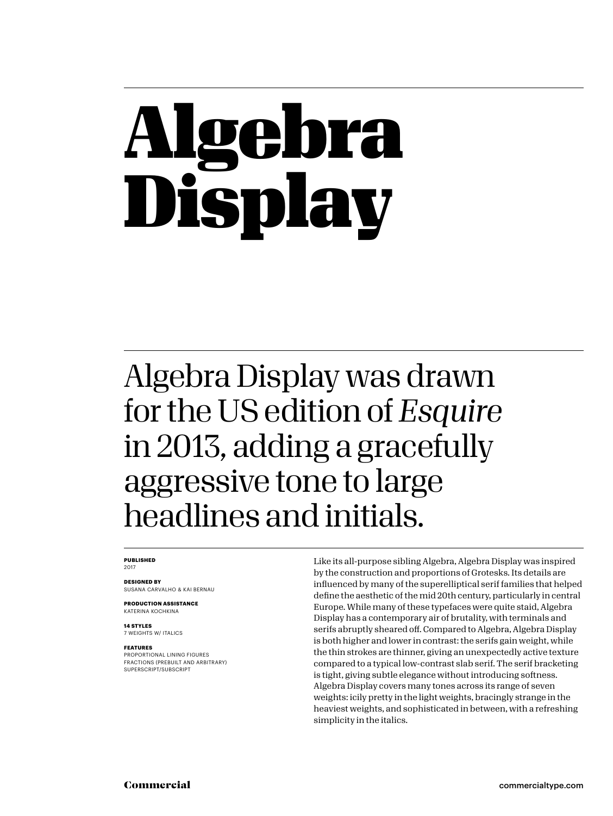## bra Display

### Algebra Display was drawn for the US edition of *Esquire* in 2013, adding a gracefully aggressive tone to large headlines and initials.

### **PUBLISHED** 2017

**DESIGNED BY** SUSANA CARVALHO & KAI BERNAU

**PRODUCTION ASSISTANCE** KATERINA KOCHKINA

**14 STYLES** 7 WEIGHTS W/ ITALICS

### **FEATURES**

PROPORTIONAL LINING FIGURES FRACTIONS (PREBUILT AND ARBITRARY) SUPERSCRIPT/SUBSCRIPT

Like its all-purpose sibling Algebra, Algebra Display was inspired by the construction and proportions of Grotesks. Its details are influenced by many of the superelliptical serif families that helped define the aesthetic of the mid 20th century, particularly in central Europe. While many of these typefaces were quite staid, Algebra Display has a contemporary air of brutality, with terminals and serifs abruptly sheared off. Compared to Algebra, Algebra Display is both higher and lower in contrast: the serifs gain weight, while the thin strokes are thinner, giving an unexpectedly active texture compared to a typical low-contrast slab serif. The serif bracketing is tight, giving subtle elegance without introducing softness. Algebra Display covers many tones across its range of seven weights: icily pretty in the light weights, bracingly strange in the heaviest weights, and sophisticated in between, with a refreshing simplicity in the italics.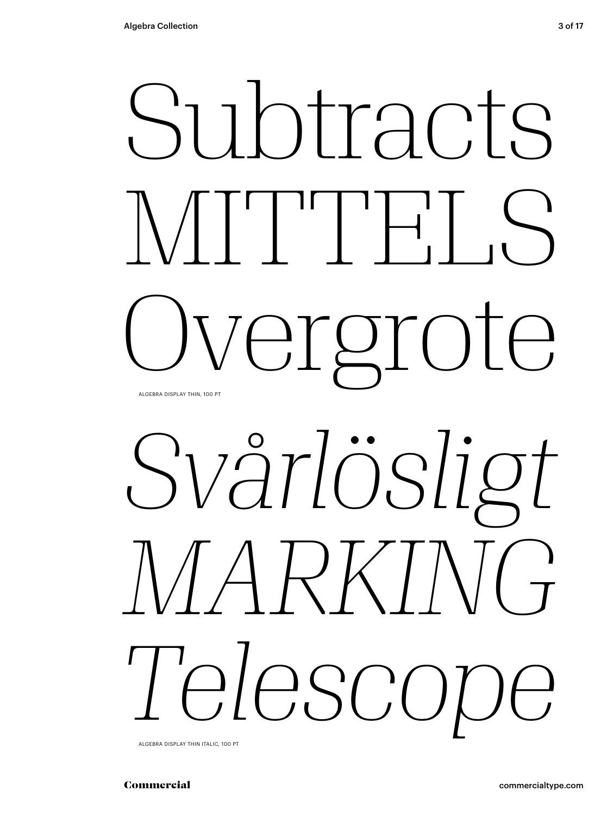

# *Svårlösligt MARKING Telescope*

ALGEBRA DISPLAY THIN ITALIC, 100 PT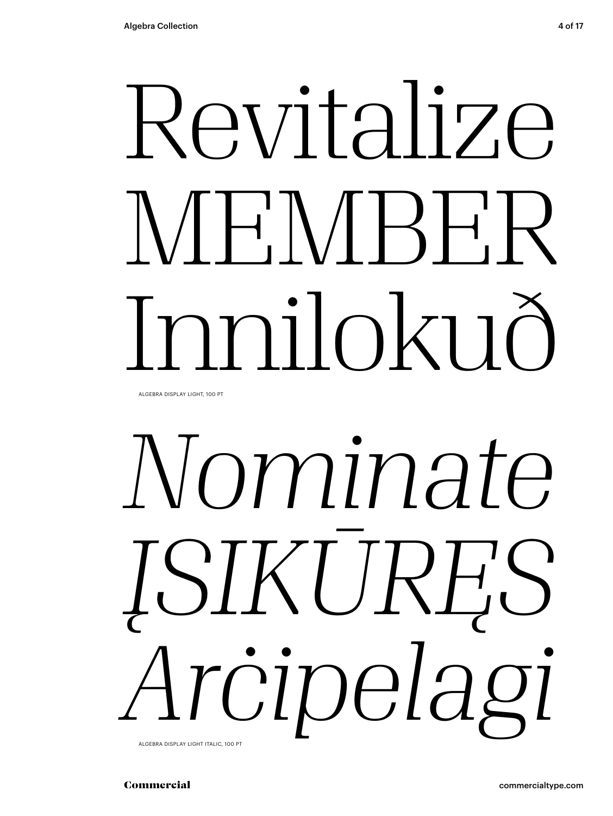# Revitalize  $N/H'N/H'$ Innilokuð

ALGEBRA DISPLAY LIGHT, 100 PT

## *Nominate ĮSIKŪRĘS Arċipelagi* ALGEBRA DISPLAY LIGHT ITALIC, 100 PT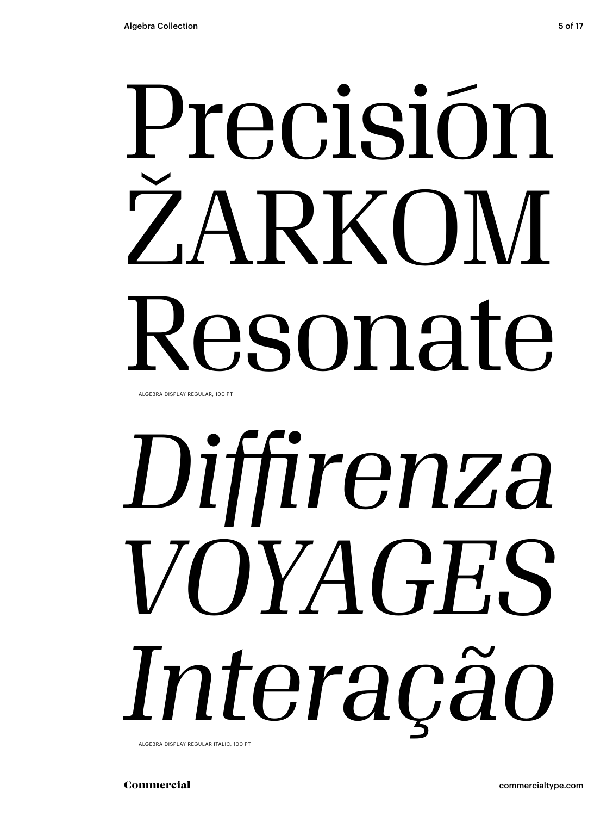# Precisión ŽARKOM Resonate

ALGEBRA DISPLAY REGULAR, 100 PT

# *Diffirenza VOYAGES Interação*

ALGEBRA DISPLAY REGULAR ITALIC, 100 PT

Commercial commercialtype.com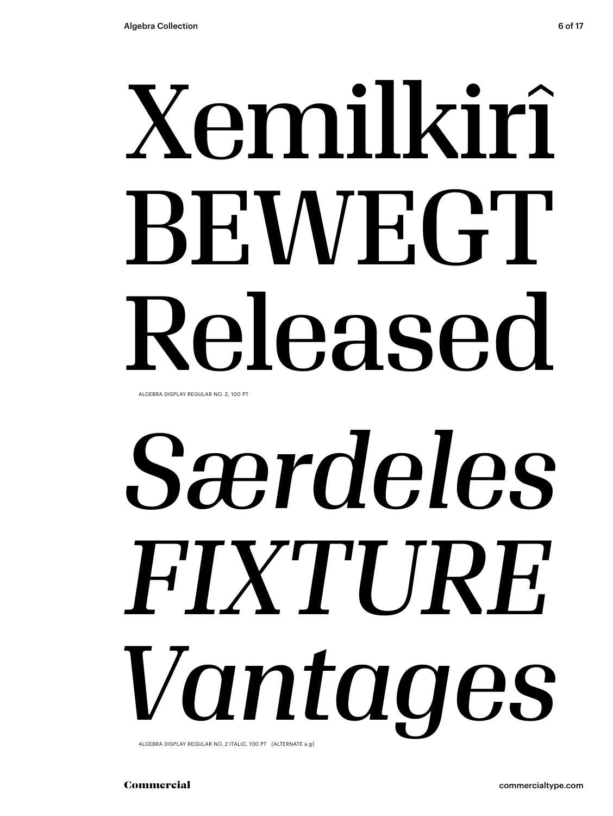# Xemilkirî BEWEGT Released

ALGEBRA DISPLAY REGULAR NO. 2, 100 PT

# *Særdeles FIXTURE Vantages*

ALGEBRA DISPLAY REGULAR NO. 2 ITALIC, 100 PT [ALTERNATE a g]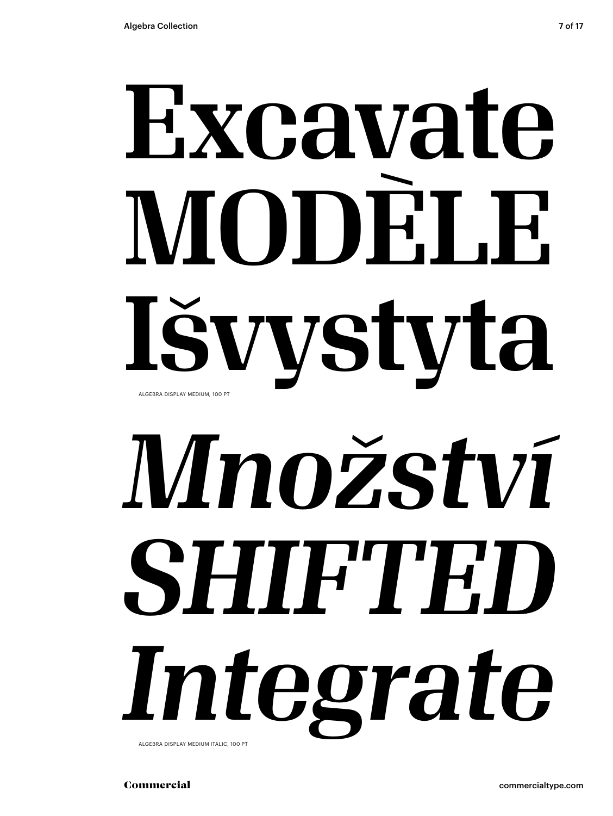## Excavate MODELE. Išvystyta ALGEBRA DISPLAY MEDIUM, 100 PT

# *Množství SHIFTED Integrate*

ALGEBRA DISPLAY MEDIUM ITALIC, 100 PT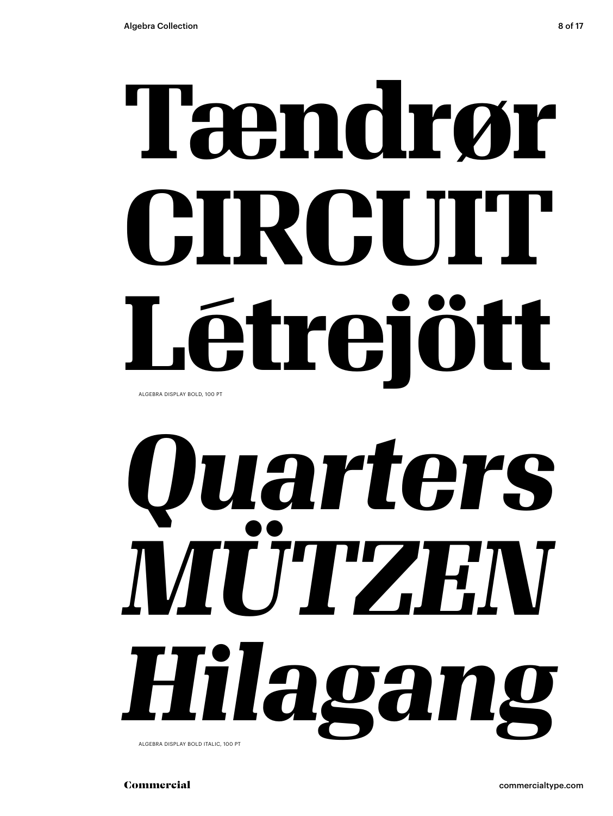## **Tændrør CIRCUIT Létrejött** ALGEBRA DISPLAY BOLD, 100 PT

# *Quarters MÜTZEN Hilagang*

ALGEBRA DISPLAY BOLD ITALIC, 100 PT

Commercial commercialtype.com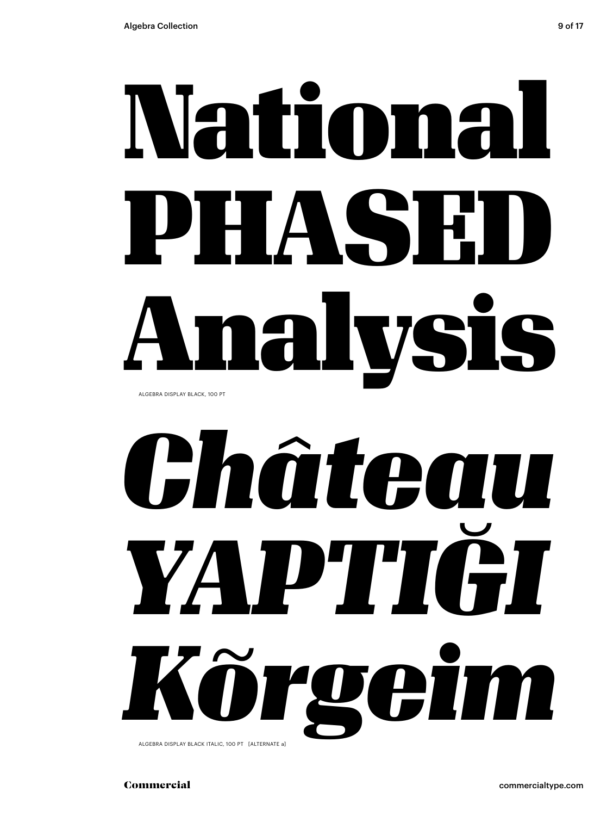## National PHASE Analysis ALGEBRA DISPLAY BLACK, 100 PT

## *Château YAPTIĞI Kõrgeim* ALGEBRA DISPLAY BLACK ITALIC, 100 PT [ALTERNATE a]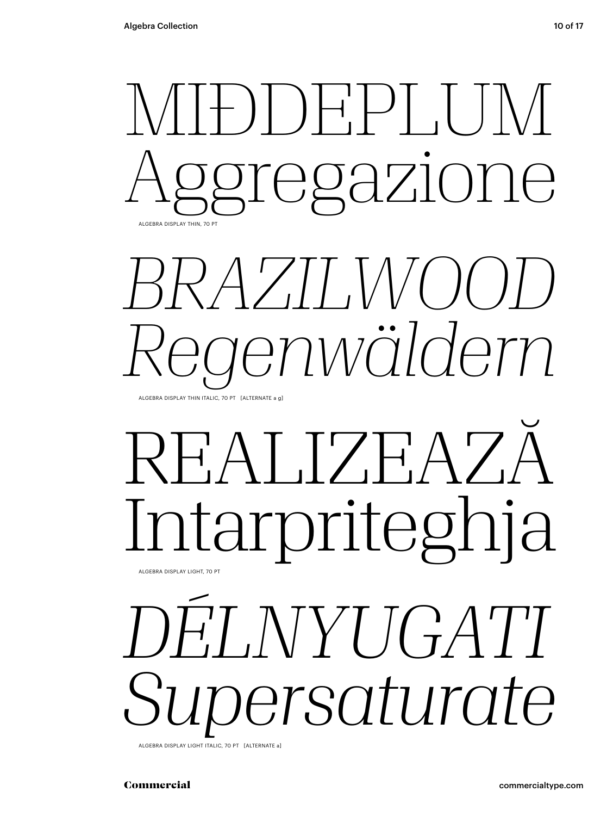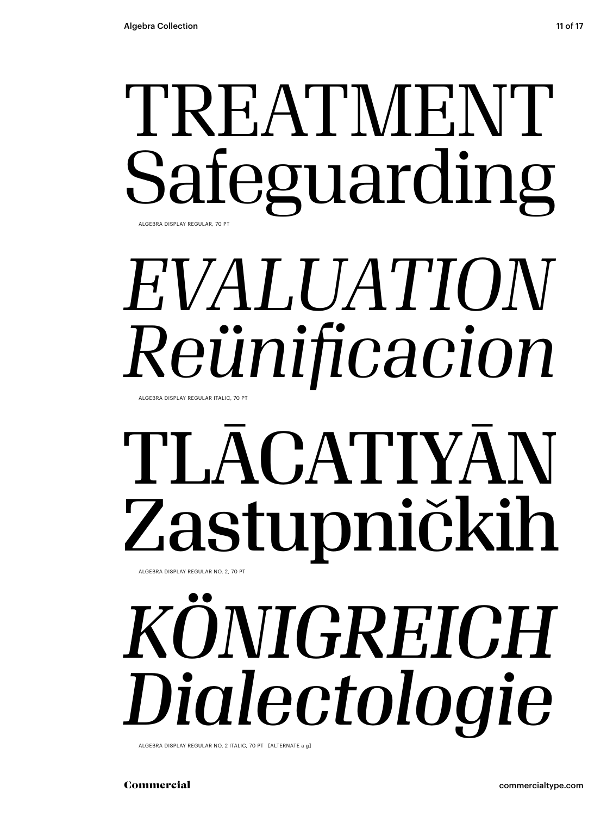### TREATMENT Safeguarding ALGEBRA DISPLAY REGULAR, 70 PT

## *EVALUATION Reünificacion*

ALGEBRA DISPLAY REGULAR ITALIC, 70 PT

### TLĀCATIYĀN Zastupničkih ALGEBRA DISPLAY REGULAR NO. 2, 70 PT

## *KÖNIGREICH Dialectologie*

ALGEBRA DISPLAY REGULAR NO. 2 ITALIC, 70 PT [ALTERNATE a g]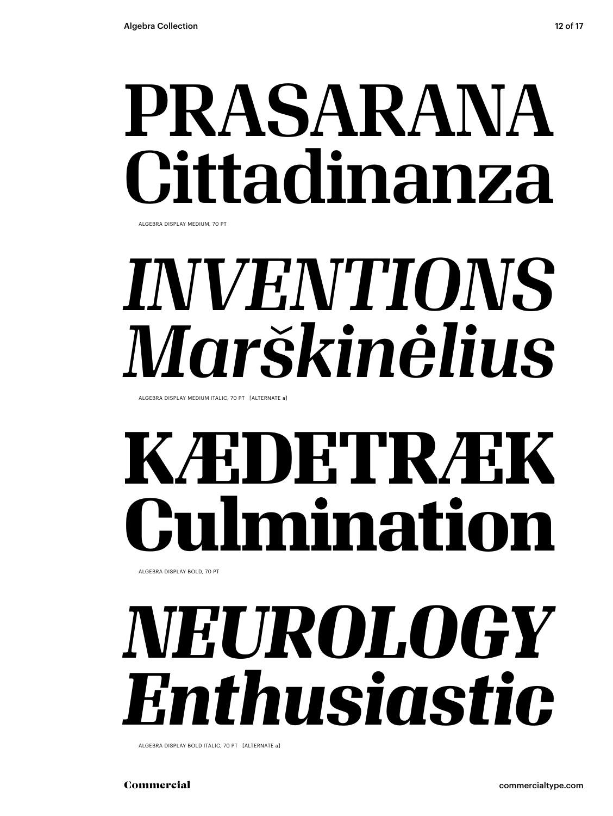## PRASARANA Cittadinanza

ALGEBRA DISPLAY MEDIUM, 70 PT

## *INVENTIONS Marškinėlius*

ALGEBRA DISPLAY MEDIUM ITALIC, 70 PT [ALTERNATE a]

## **KÆDETRÆK Culmination**

ALGEBRA DISPLAY BOLD, 70 PT

## *NEUROLOGY Enthusiastic*

ALGEBRA DISPLAY BOLD ITALIC, 70 PT [ALTERNATE a]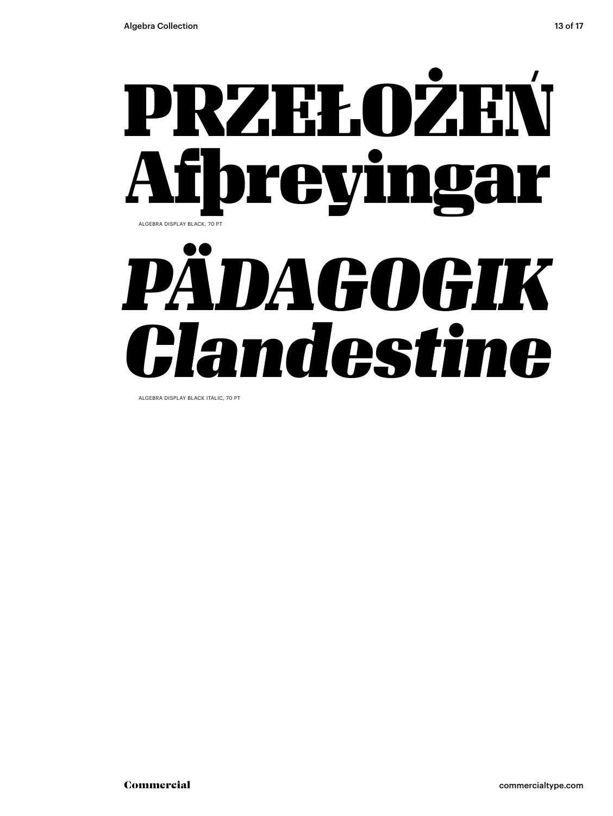

ALGEBRA DISPLAY BLACK ITALIC, 70 PT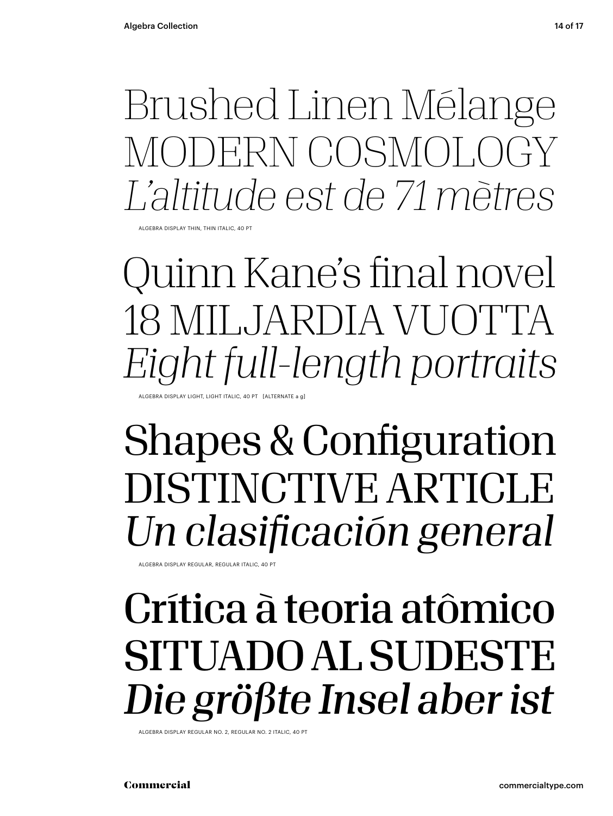Brushed Linen Mélange MODERN COSMOLOGY *L'altitude est de 71 mètres*

ALGEBRA DISPLAY THIN, THIN ITALIC, 40 PT

Quinn Kane's final novel 18 MILJARDIA VUOTTA *Eight full-length portraits* ALGEBRA DISPLAY LIGHT, LIGHT ITALIC, 40 PT [ALTERNATE a g]

### Shapes & Configuration DISTINCTIVE ARTICLE *Un clasificación general*

ALGEBRA DISPLAY REGULAR, REGULAR ITALIC, 40 PT

### Crítica à teoria atômico SITUADO AL SUDESTE *Die größte Insel aber ist*

ALGEBRA DISPLAY REGULAR NO. 2, REGULAR NO. 2 ITALIC, 40 PT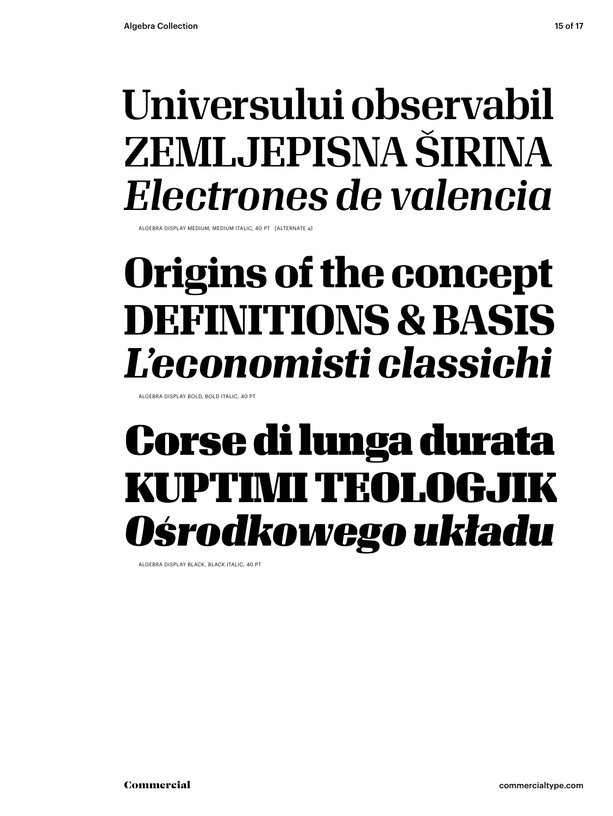### Universului observabil ZEMLJEPISNA ŠIRINA *Electrones de valencia*

ALGEBRA DISPLAY MEDIUM, MEDIUM ITALIC, 40 PT [ALTERNATE a]

### **Origins of the concept DEFINITIONS & BASIS** *L'economisti classichi*

ALGEBRA DISPLAY BOLD, BOLD ITALIC, 40 PT

### Corse di lunga durata KUPTIMI TEOLOGJIK *Ośrodkowego układu*

ALGEBRA DISPLAY BLACK, BLACK ITALIC, 40 PT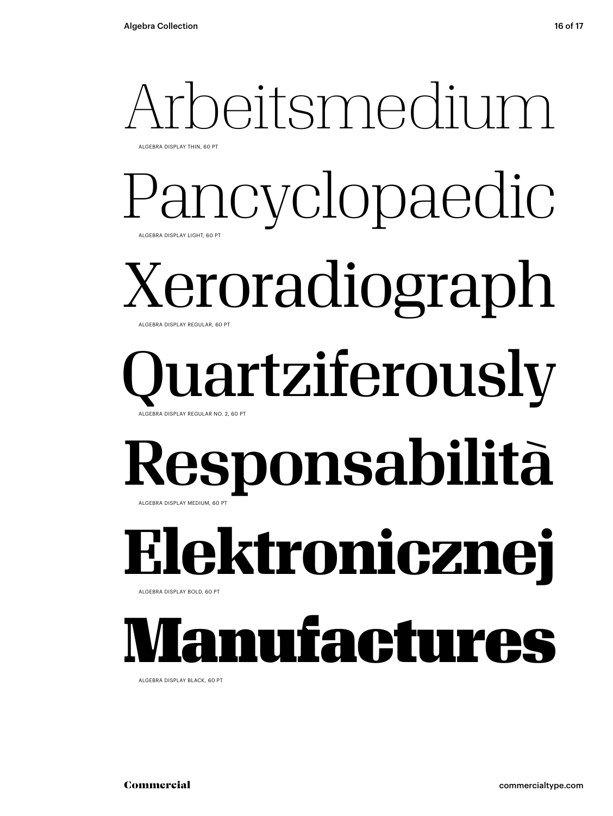### Arbeitsmedium ALGEBRA DISPLAY THIN, 60 PT

### **1CVClOpaedic** ALGEBRA DISPLAY LIGHT, 60 PT

### Xeroradiograph ALGEBRA DISPLAY REGULAR, 60 PT

### lartziferously ALGEBRA DISPLAY REGULAR NO. 2, 60 PT

### Responsabilità ALGEBRA DISPLAY MEDIUM, 60 PT

**Elektronicznej**

ALGEBRA DISPLAY BOLD, 60 PT

## nufactures

ALGEBRA DISPLAY BLACK, 60 PT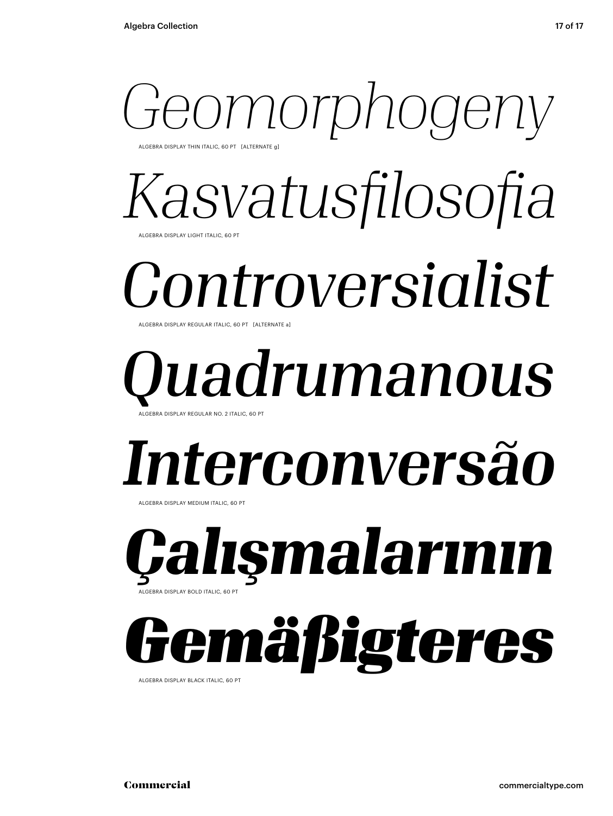### *Geomorphogeny* ALGEBRA DISPLAY THIN ITALIC, 60 PT [ALTERNATE g]

*Kasvatusfilosofia* ALGEBRA DISPLAY LIGHT ITALIC, 60 PT

## *Controversialist*

ALGEBRA DISPLAY REGULAR ITALIC, 60 PT [ALTERNATE a]

### *Quadrumanous* ALGEBRA DISPLAY REGULAR NO. 2 ITALIC, 60 PT

## *Interconversão*

ALGEBRA DISPLAY MEDIUM ITALIC, 60 PT

*Çalışmalarının* ALGEBRA DISPLAY BOLD ITALIC, 60 PT

## *Gemäßigteres*

ALGEBRA DISPLAY BLACK ITALIC, 60 PT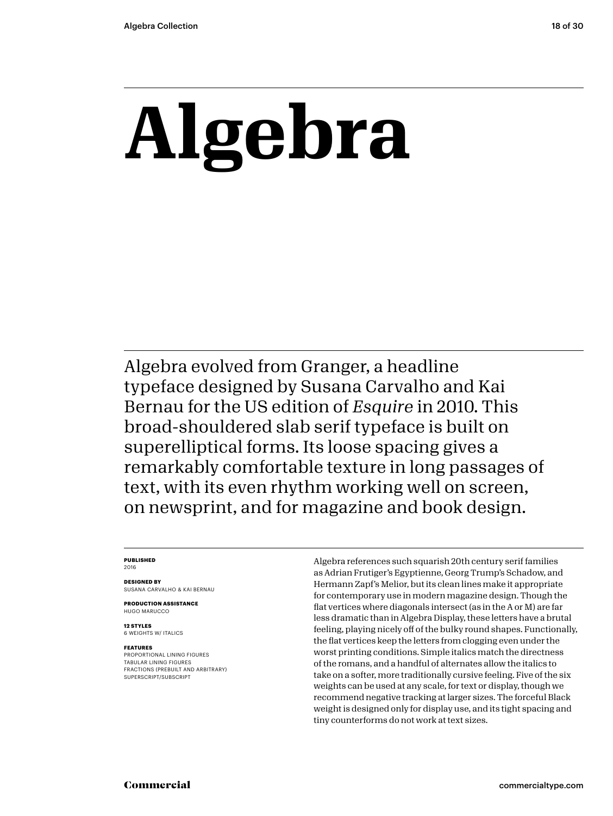## **Algebra**

Algebra evolved from Granger, a headline typeface designed by Susana Carvalho and Kai Bernau for the US edition of *Esquire* in 2010. This broad-shouldered slab serif typeface is built on superelliptical forms. Its loose spacing gives a remarkably comfortable texture in long passages of text, with its even rhythm working well on screen, on newsprint, and for magazine and book design.

### **PUBLISHED**

2016

**DESIGNED BY** SUSANA CARVALHO & KAI BERNAU

**PRODUCTION ASSISTANCE** HUGO MARUCCO

**12 STYLES** 6 WEIGHTS W/ ITALICS

### **FEATURES**

PROPORTIONAL LINING FIGURES TABULAR LINING FIGURES FRACTIONS (PREBUILT AND ARBITRARY) SUPERSCRIPT/SUBSCRIPT

Algebra references such squarish 20th century serif families as Adrian Frutiger's Egyptienne, Georg Trump's Schadow, and Hermann Zapf's Melior, but its clean lines make it appropriate for contemporary use in modern magazine design. Though the flat vertices where diagonals intersect (as in the A or M) are far less dramatic than in Algebra Display, these letters have a brutal feeling, playing nicely off of the bulky round shapes. Functionally, the flat vertices keep the letters from clogging even under the worst printing conditions. Simple italics match the directness of the romans, and a handful of alternates allow the italics to take on a softer, more traditionally cursive feeling. Five of the six weights can be used at any scale, for text or display, though we recommend negative tracking at larger sizes. The forceful Black weight is designed only for display use, and its tight spacing and tiny counterforms do not work at text sizes.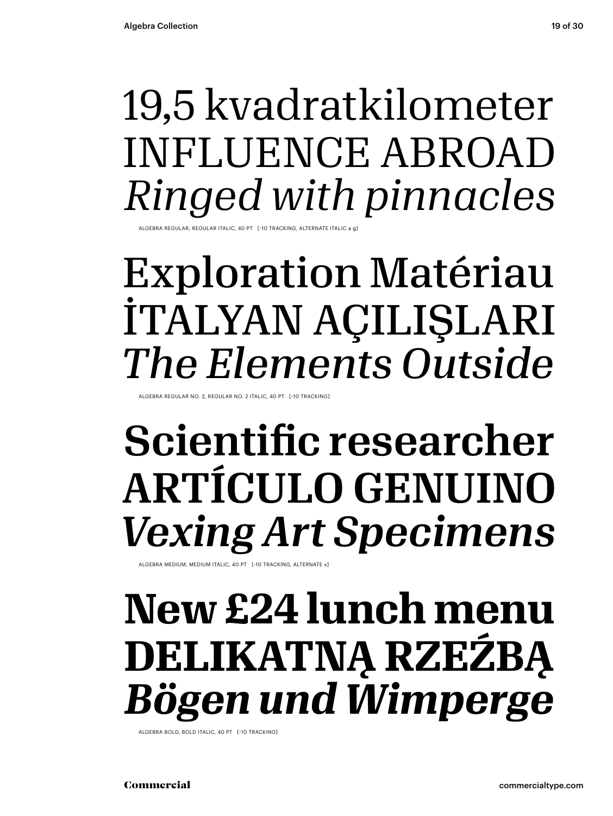### 19,5 kvadratkilometer INFLUENCE ABROAD *Ringed with pinnacles*

ALGEBRA REGULAR, REGULAR ITALIC, 40 PT [-10 TRACKING, ALTERNATE ITALIC a g]

### Exploration Matériau İTALYAN AÇILIŞLARI *The Elements Outside*

LGEBRA REGULAR NO. 2, REGULAR NO. 2 ITALIC, 40 PT [-10 TRACKING]

### Scientific researcher ARTÍCULO GENUINO *Vexing Art Specimens*

ALGEBRA MEDIUM, MEDIUM ITALIC, 40 PT [-10 TRACKING, ALTERNATE x]

### **New £24 lunch menu DELIKATNĄ RZEŹBĄ** *Bögen und Wimperge*

ALGEBRA BOLD, BOLD ITALIC, 40 PT [-10 TRACKING]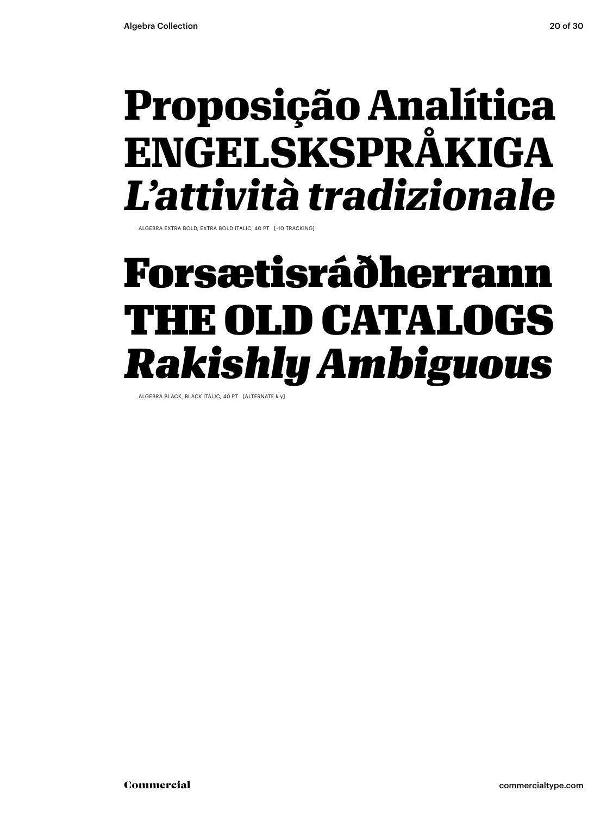### **Proposição Analítica ENGELSKSPRÅKIGA** *L'attività tradizionale*

ALGEBRA EXTRA BOLD, EXTRA BOLD ITALIC, 40 PT [-10 TRACKING]

### Forsætisráðherrann THE OLD CATALOGS *Rakishly Ambiguous*

ALGEBRA BLACK, BLACK ITALIC, 40 PT [ALTERNATE k y]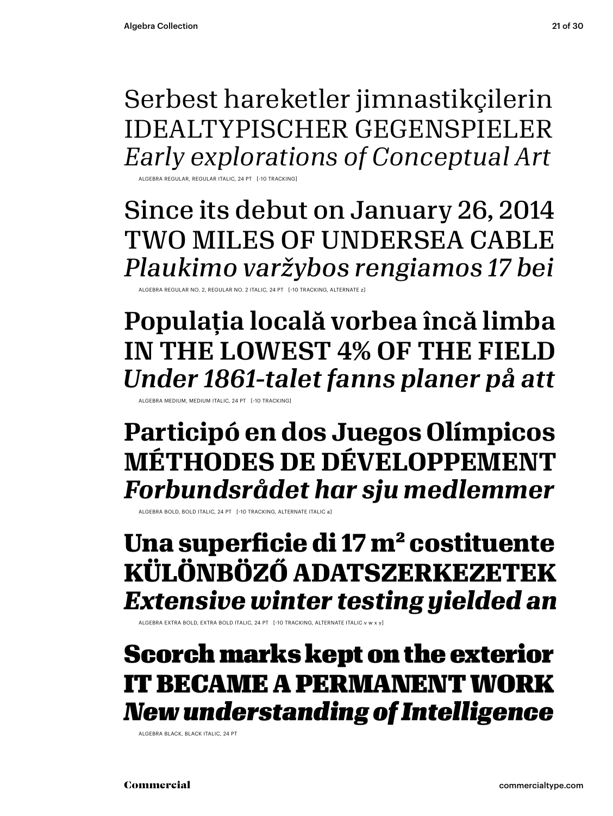Serbest hareketler jimnastikçilerin IDEALTYPISCHER GEGENSPIELER *Early explorations of Conceptual Art*

ALGEBRA REGULAR, REGULAR ITALIC, 24 PT [-10 TRACKING]

Since its debut on January 26, 2014 TWO MILES OF UNDERSEA CABLE *Plaukimo varžybos rengiamos 17 bei*

ALGEBRA REGULAR NO. 2, REGULAR NO. 2 ITALIC, 24 PT [-10 TRACKING, ALTERNATE z]

Populația locală vorbea încă limba IN THE LOWEST 4% OF THE FIELD *Under 1861-talet fanns planer på att*

ALGEBRA MEDIUM, MEDIUM ITALIC, 24 PT [-10 TRACKING]

**Participó en dos Juegos Olímpicos MÉTHODES DE DÉVELOPPEMENT** *Forbundsrådet har sju medlemmer*

ALGEBRA BOLD, BOLD ITALIC, 24 PT [-10 TRACKING, ALTERNATE ITALIC a]

**Una superficie di 17 m² costituente KÜLÖNBÖZŐ ADATSZERKEZETEK** *Extensive winter testing yielded an* 

ALGEBRA EXTRA BOLD, EXTRA BOLD ITALIC, 24 PT [-10 TRACKING, ALTERNATE ITALIC v w x y]

### Scorch marks kept on the exterior IT BECAME A PERMANENT WORK *New understanding of Intelligence*

ALGEBRA BLACK, BLACK ITALIC, 24 PT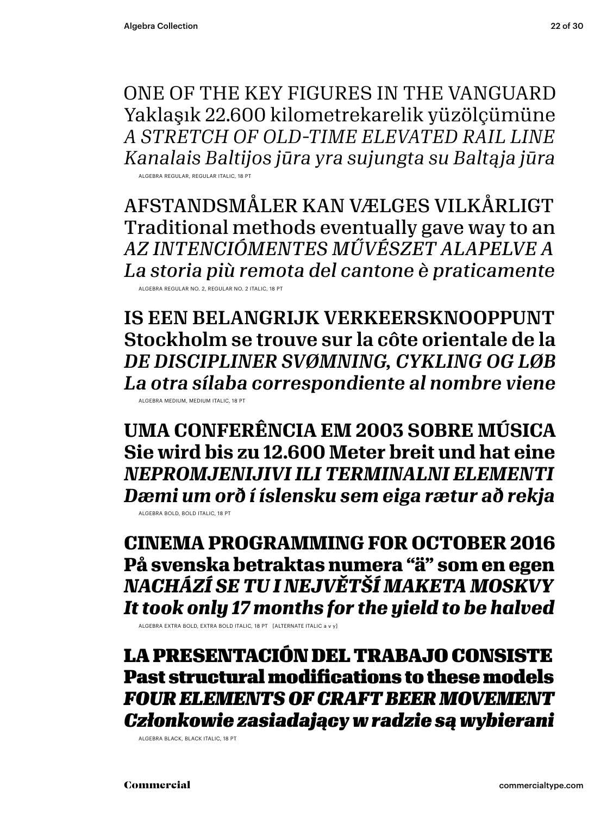ONE OF THE KEY FIGURES IN THE VANGUARD Yaklaşık 22.600 kilometrekarelik yüzölçümüne *A STRETCH OF OLD-TIME ELEVATED RAIL LINE Kanalais Baltijos jūra yra sujungta su Baltąja jūra*

ALGEBRA REGULAR, REGULAR ITALIC, 18 PT

AFSTANDSMÅLER KAN VÆLGES VILKÅRLIGT Traditional methods eventually gave way to an *AZ INTENCIÓMENTES MŰVÉSZET ALAPELVE A La storia più remota del cantone è praticamente*

ALGEBRA REGULAR NO. 2, REGULAR NO. 2 ITALIC, 18 PT

IS EEN BELANGRIJK VERKEERSKNOOPPUNT Stockholm se trouve sur la côte orientale de la *DE DISCIPLINER SVØMNING, CYKLING OG LØB La otra sílaba correspondiente al nombre viene*

ALGEBRA MEDIUM, MEDIUM ITALIC, 18 PT

**UMA CONFERÊNCIA EM 2003 SOBRE MÚSICA Sie wird bis zu 12.600 Meter breit und hat eine** *NEPROMJENIJIVI ILI TERMINALNI ELEMENTI Dæmi um orð í íslensku sem eiga rætur að rekja* ALGEBRA BOLD, BOLD ITALIC, 18 PT

**CINEMA PROGRAMMING FOR OCTOBER 2016 På svenska betraktas numera "ä" som en egen** *NACHÁZÍ SE TU I NEJVĚTŠÍ MAKETA MOSKVY It took only 17 months for the yield to be halved*

ALGEBRA EXTRA BOLD, EXTRA BOLD ITALIC, 18 PT [ALTERNATE ITALIC a v y]

LA PRESENTACIÓN DEL TRABAJO CONSISTE Past structural modifications to these models *FOUR ELEMENTS OF CRAFT BEER MOVEMENT Członkowie zasiadający w radzie są wybierani*

ALGEBRA BLACK, BLACK ITALIC, 18 PT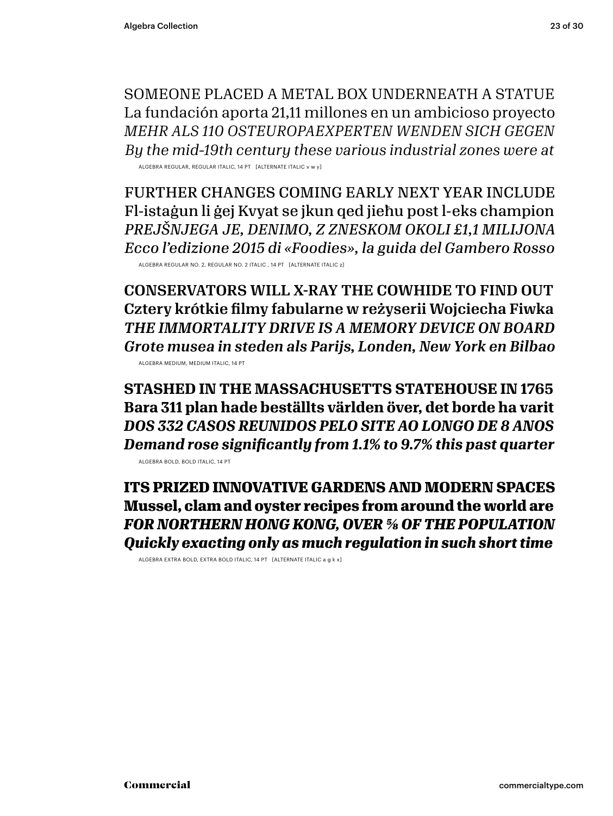SOMEONE PLACED A METAL BOX UNDERNEATH A STATUE La fundación aporta 21,11 millones en un ambicioso proyecto *MEHR ALS 110 OSTEUROPAEXPERTEN WENDEN SICH GEGEN By the mid-19th century these various industrial zones were at*

ALGEBRA REGULAR, REGULAR ITALIC, 14 PT [ALTERNATE ITALIC v w y]

FURTHER CHANGES COMING EARLY NEXT YEAR INCLUDE Fl-istaġun li ġej Kvyat se jkun qed jieħu post l-eks champion *PREJŠNJEGA JE, DENIMO, Z ZNESKOM OKOLI £1,1 MILIJONA Ecco l'edizione 2015 di «Foodies», la guida del Gambero Rosso*

ALGEBRA REGULAR NO. 2, REGULAR NO. 2 ITALIC , 14 PT [ALTERNATE ITALIC z]

CONSERVATORS WILL X-RAY THE COWHIDE TO FIND OUT Cztery krótkie filmy fabularne w reżyserii Wojciecha Fiwka *THE IMMORTALITY DRIVE IS A MEMORY DEVICE ON BOARD Grote musea in steden als Parijs, Londen, New York en Bilbao* ALGEBRA MEDIUM, MEDIUM ITALIC, 14 PT

**STASHED IN THE MASSACHUSETTS STATEHOUSE IN 1765 Bara 311 plan hade beställts världen över, det borde ha varit** *DOS 332 CASOS REUNIDOS PELO SITE AO LONGO DE 8 ANOS Demand rose significantly from 1.1% to 9.7% this past quarter*

ALGEBRA BOLD, BOLD ITALIC, 14 PT

**ITS PRIZED INNOVATIVE GARDENS AND MODERN SPACES Mussel, clam and oyster recipes from around the world are** *FOR NORTHERN HONG KONG, OVER 5/8 OF THE POPULATION Quickly exacting only as much regulation in such short time*

ALGEBRA EXTRA BOLD, EXTRA BOLD ITALIC, 14 PT [ALTERNATE ITALIC a g k x]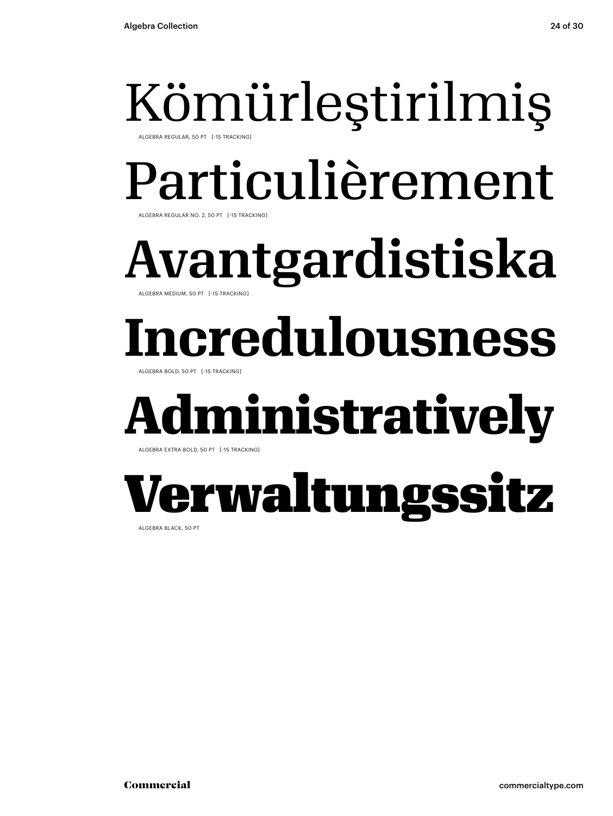## Kömürleştirilmiş

ALGEBRA REGULAR, 50 PT [-15 TRACKING]

## Particulièrement

ALGEBRA REGULAR NO. 2, 50 PT [-15 TRACKING]

Avantgardistiska ALGEBRA MEDIUM, 50 PT [-15 TRACKING]

## **Incredulousness**

ALGEBRA BOLD, 50 PT [-15 TRACKING]

## **diministratively**

ALGEBRA EXTRA BOLD, 50 PT [-15 TRACKING]

## Verwaltungssitz

ALGEBRA BLACK, 50 PT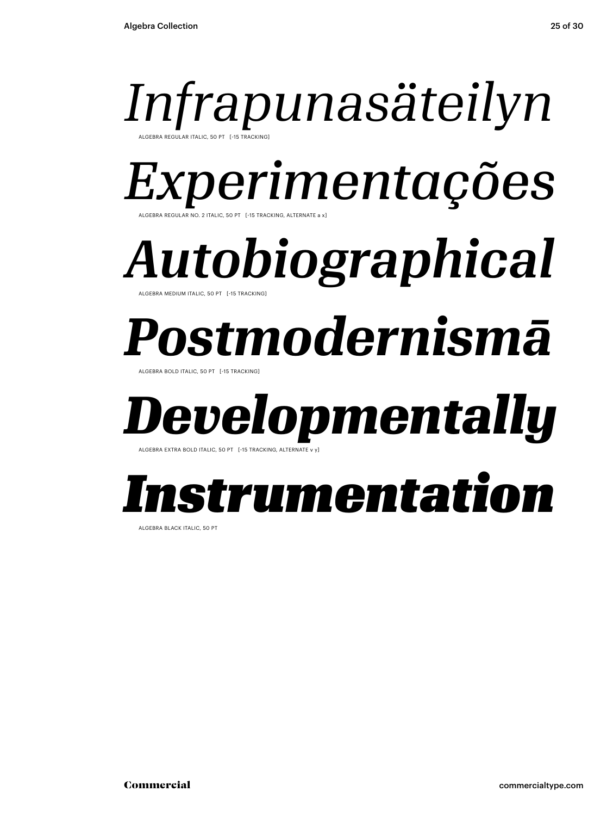### *Infrapunasäteilyn* ALGEBRA REGULAR ITALIC, 50 PT [-15 TRACKING]

*Experimentações*

R NO. 2 ITALIC, 50 PT [-15 TRACKING, ALTERNATE a x]

*Autobiographical* ALGEBRA MEDIUM ITALIC, 50 PT [-15 TRACKING]

## *Postmodernismā*

ALGEBRA BOLD ITALIC, 50 PT [-15 TRACKING]

## *Developmentally*

ALGEBRA EXTRA BOLD ITALIC, 50 PT [-15 TRACKING, ALTERNATI

### *Instrumentation*

ALGEBRA BLACK ITALIC, 50 PT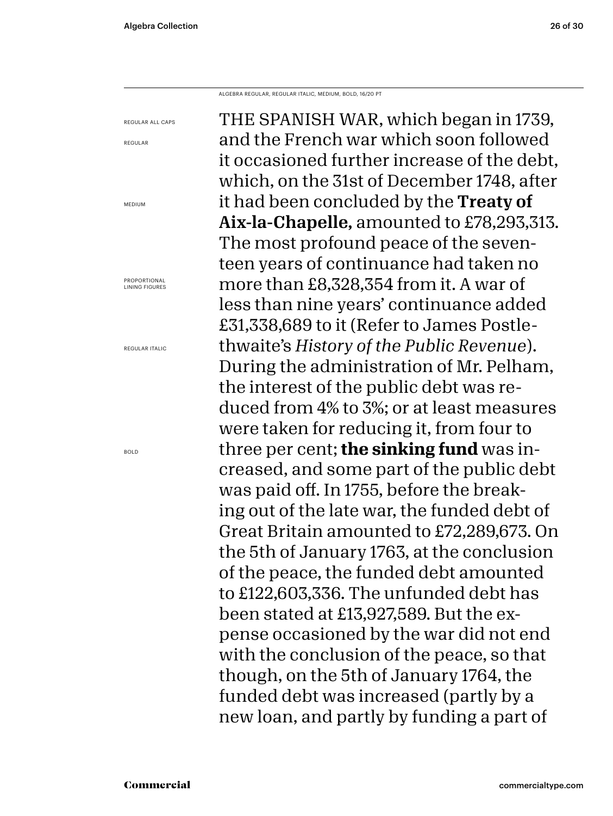REGULAR

MEDIUM

BOLD

ALGEBRA REGULAR, REGULAR ITALIC, MEDIUM, BOLD, 16/20 PT

THE SPANISH WAR, which began in 1739, and the French war which soon followed it occasioned further increase of the debt, which, on the 31st of December 1748, after it had been concluded by the Treaty of Aix-la-Chapelle, amounted to £78,293,313. The most profound peace of the seventeen years of continuance had taken no more than £8,328,354 from it. A war of less than nine years' continuance added £31,338,689 to it (Refer to James Postlethwaite's *History of the Public Revenue*). During the administration of Mr. Pelham, the interest of the public debt was reduced from 4% to 3%; or at least measures were taken for reducing it, from four to three per cent; **the sinking fund** was increased, and some part of the public debt was paid off. In 1755, before the breaking out of the late war, the funded debt of Great Britain amounted to £72,289,673. On the 5th of January 1763, at the conclusion of the peace, the funded debt amounted to £122,603,336. The unfunded debt has been stated at £13,927,589. But the expense occasioned by the war did not end with the conclusion of the peace, so that though, on the 5th of January 1764, the funded debt was increased (partly by a new loan, and partly by funding a part of REGULAR ALL CAPS PROPORTIONAL LINING FIGURES REGULAR ITALIC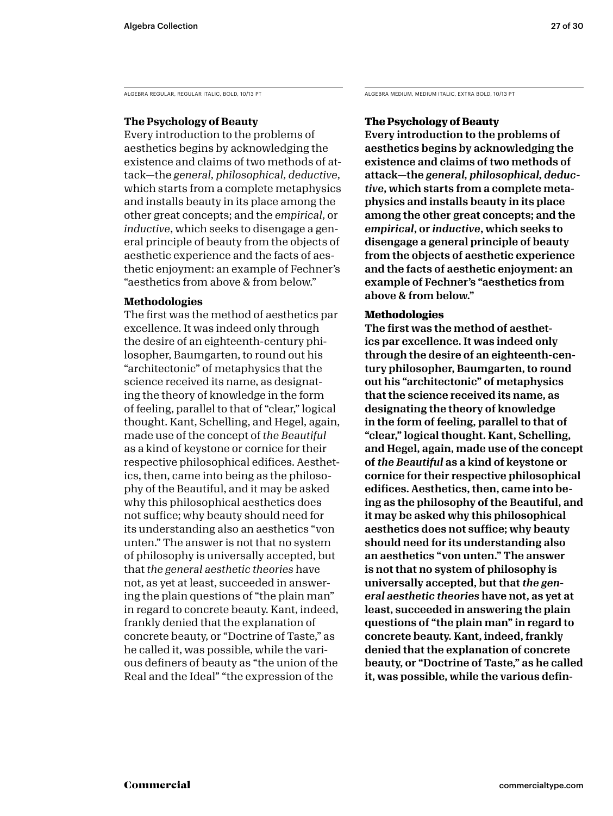ALGEBRA REGULAR, REGULAR ITALIC, BOLD, 10/13 PT

### **The Psychology of Beauty**

Every introduction to the problems of aesthetics begins by acknowledging the existence and claims of two methods of attack—the *general, philosophical, deductive*, which starts from a complete metaphysics and installs beauty in its place among the other great concepts; and the *empirical*, or *inductive*, which seeks to disengage a general principle of beauty from the objects of aesthetic experience and the facts of aesthetic enjoyment: an example of Fechner's "aesthetics from above & from below."

### **Methodologies**

The first was the method of aesthetics par excellence. It was indeed only through the desire of an eighteenth-century philosopher, Baumgarten, to round out his "architectonic" of metaphysics that the science received its name, as designating the theory of knowledge in the form of feeling, parallel to that of "clear," logical thought. Kant, Schelling, and Hegel, again, made use of the concept of *the Beautiful* as a kind of keystone or cornice for their respective philosophical edifices. Aesthetics, then, came into being as the philosophy of the Beautiful, and it may be asked why this philosophical aesthetics does not suffice; why beauty should need for its understanding also an aesthetics "von unten." The answer is not that no system of philosophy is universally accepted, but that *the general aesthetic theories* have not, as yet at least, succeeded in answering the plain questions of "the plain man" in regard to concrete beauty. Kant, indeed, frankly denied that the explanation of concrete beauty, or "Doctrine of Taste," as he called it, was possible, while the various definers of beauty as "the union of the Real and the Ideal" "the expression of the

ALGEBRA MEDIUM, MEDIUM ITALIC, EXTRA BOLD, 10/13 PT

### **The Psychology of Beauty**

Every introduction to the problems of aesthetics begins by acknowledging the existence and claims of two methods of attack—the *general, philosophical, deductive*, which starts from a complete metaphysics and installs beauty in its place among the other great concepts; and the *empirical*, or *inductive*, which seeks to disengage a general principle of beauty from the objects of aesthetic experience and the facts of aesthetic enjoyment: an example of Fechner's "aesthetics from above & from below."

### **Methodologies**

The first was the method of aesthetics par excellence. It was indeed only through the desire of an eighteenth-century philosopher, Baumgarten, to round out his "architectonic" of metaphysics that the science received its name, as designating the theory of knowledge in the form of feeling, parallel to that of "clear," logical thought. Kant, Schelling, and Hegel, again, made use of the concept of *the Beautiful* as a kind of keystone or cornice for their respective philosophical edifices. Aesthetics, then, came into being as the philosophy of the Beautiful, and it may be asked why this philosophical aesthetics does not suffice; why beauty should need for its understanding also an aesthetics "von unten." The answer is not that no system of philosophy is universally accepted, but that *the general aesthetic theories* have not, as yet at least, succeeded in answering the plain questions of "the plain man" in regard to concrete beauty. Kant, indeed, frankly denied that the explanation of concrete beauty, or "Doctrine of Taste," as he called it, was possible, while the various defin-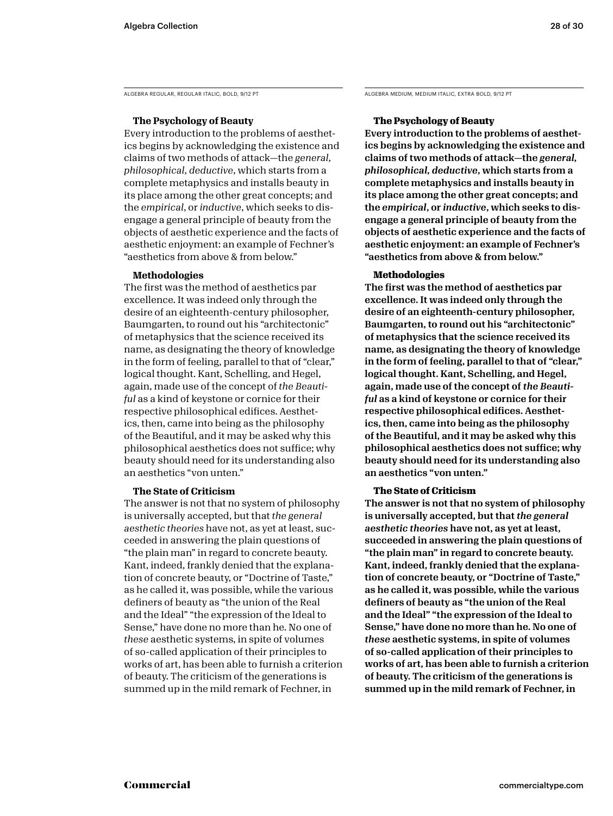### **The Psychology of Beauty**

Every introduction to the problems of aesthetics begins by acknowledging the existence and claims of two methods of attack—the *general, philosophical, deductive*, which starts from a complete metaphysics and installs beauty in its place among the other great concepts; and the *empirical*, or *inductive*, which seeks to disengage a general principle of beauty from the objects of aesthetic experience and the facts of aesthetic enjoyment: an example of Fechner's "aesthetics from above & from below."

### **Methodologies**

The first was the method of aesthetics par excellence. It was indeed only through the desire of an eighteenth-century philosopher, Baumgarten, to round out his "architectonic" of metaphysics that the science received its name, as designating the theory of knowledge in the form of feeling, parallel to that of "clear," logical thought. Kant, Schelling, and Hegel, again, made use of the concept of *the Beautiful* as a kind of keystone or cornice for their respective philosophical edifices. Aesthetics, then, came into being as the philosophy of the Beautiful, and it may be asked why this philosophical aesthetics does not suffice; why beauty should need for its understanding also an aesthetics "von unten."

### **The State of Criticism**

The answer is not that no system of philosophy is universally accepted, but that *the general aesthetic theories* have not, as yet at least, succeeded in answering the plain questions of "the plain man" in regard to concrete beauty. Kant, indeed, frankly denied that the explanation of concrete beauty, or "Doctrine of Taste," as he called it, was possible, while the various definers of beauty as "the union of the Real and the Ideal" "the expression of the Ideal to Sense," have done no more than he. No one of *these* aesthetic systems, in spite of volumes of so-called application of their principles to works of art, has been able to furnish a criterion of beauty. The criticism of the generations is summed up in the mild remark of Fechner, in

ALGEBRA REGULAR, REGULAR ITALIC, BOLD, 9/12 PT ALGEBRA MEDIUM, MEDIUM ITALIC, EXTRA BOLD, 9/12 PT

### **The Psychology of Beauty**

Every introduction to the problems of aesthetics begins by acknowledging the existence and claims of two methods of attack—the *general, philosophical, deductive*, which starts from a complete metaphysics and installs beauty in its place among the other great concepts; and the *empirical*, or *inductive*, which seeks to disengage a general principle of beauty from the objects of aesthetic experience and the facts of aesthetic enjoyment: an example of Fechner's "aesthetics from above & from below."

### **Methodologies**

The first was the method of aesthetics par excellence. It was indeed only through the desire of an eighteenth-century philosopher, Baumgarten, to round out his "architectonic" of metaphysics that the science received its name, as designating the theory of knowledge in the form of feeling, parallel to that of "clear," logical thought. Kant, Schelling, and Hegel, again, made use of the concept of *the Beautiful* as a kind of keystone or cornice for their respective philosophical edifices. Aesthetics, then, came into being as the philosophy of the Beautiful, and it may be asked why this philosophical aesthetics does not suffice; why beauty should need for its understanding also an aesthetics "von unten."

### **The State of Criticism**

The answer is not that no system of philosophy is universally accepted, but that *the general aesthetic theories* have not, as yet at least, succeeded in answering the plain questions of "the plain man" in regard to concrete beauty. Kant, indeed, frankly denied that the explanation of concrete beauty, or "Doctrine of Taste," as he called it, was possible, while the various definers of beauty as "the union of the Real and the Ideal" "the expression of the Ideal to Sense," have done no more than he. No one of *these* aesthetic systems, in spite of volumes of so-called application of their principles to works of art, has been able to furnish a criterion of beauty. The criticism of the generations is summed up in the mild remark of Fechner, in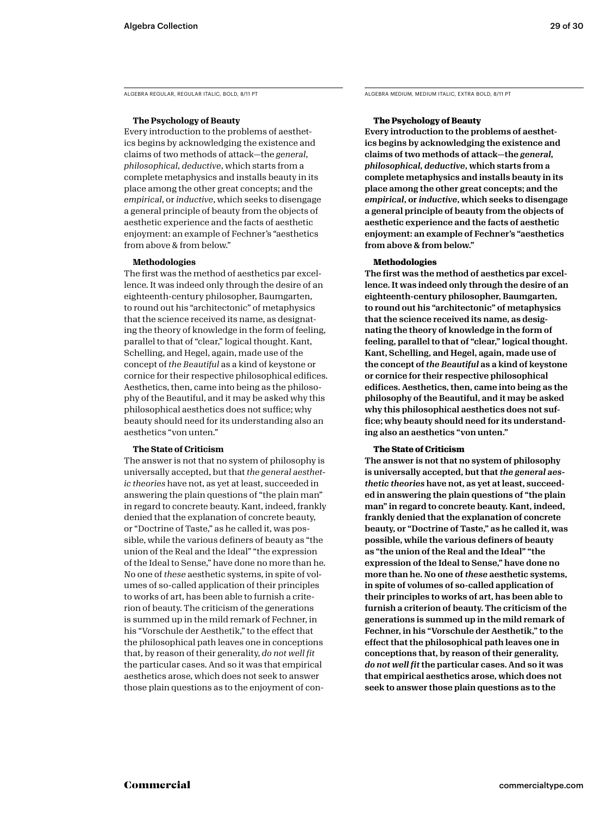### **The Psychology of Beauty**

Every introduction to the problems of aesthetics begins by acknowledging the existence and claims of two methods of attack—the *general, philosophical, deductive*, which starts from a complete metaphysics and installs beauty in its place among the other great concepts; and the *empirical*, or *inductive*, which seeks to disengage a general principle of beauty from the objects of aesthetic experience and the facts of aesthetic enjoyment: an example of Fechner's "aesthetics from above & from below."

### **Methodologies**

The first was the method of aesthetics par excellence. It was indeed only through the desire of an eighteenth-century philosopher, Baumgarten, to round out his "architectonic" of metaphysics that the science received its name, as designating the theory of knowledge in the form of feeling, parallel to that of "clear," logical thought. Kant, Schelling, and Hegel, again, made use of the concept of *the Beautiful* as a kind of keystone or cornice for their respective philosophical edifices. Aesthetics, then, came into being as the philosophy of the Beautiful, and it may be asked why this philosophical aesthetics does not suffice; why beauty should need for its understanding also an aesthetics "von unten."

### **The State of Criticism**

The answer is not that no system of philosophy is universally accepted, but that *the general aesthetic theories* have not, as yet at least, succeeded in answering the plain questions of "the plain man" in regard to concrete beauty. Kant, indeed, frankly denied that the explanation of concrete beauty, or "Doctrine of Taste," as he called it, was possible, while the various definers of beauty as "the union of the Real and the Ideal" "the expression of the Ideal to Sense," have done no more than he. No one of *these* aesthetic systems, in spite of volumes of so-called application of their principles to works of art, has been able to furnish a criterion of beauty. The criticism of the generations is summed up in the mild remark of Fechner, in his "Vorschule der Aesthetik," to the effect that the philosophical path leaves one in conceptions that, by reason of their generality, *do not well fit*  the particular cases. And so it was that empirical aesthetics arose, which does not seek to answer those plain questions as to the enjoyment of con-

ALGEBRA REGULAR, REGULAR ITALIC, BOLD, 8/11 PT ALGEBRA MEDIUM, MEDIUM ITALIC, EXTRA BOLD, 8/11 PT

### **The Psychology of Beauty**

Every introduction to the problems of aesthetics begins by acknowledging the existence and claims of two methods of attack—the *general, philosophical, deductive*, which starts from a complete metaphysics and installs beauty in its place among the other great concepts; and the *empirical*, or *inductive*, which seeks to disengage a general principle of beauty from the objects of aesthetic experience and the facts of aesthetic enjoyment: an example of Fechner's "aesthetics from above & from below."

### **Methodologies**

The first was the method of aesthetics par excellence. It was indeed only through the desire of an eighteenth-century philosopher, Baumgarten, to round out his "architectonic" of metaphysics that the science received its name, as designating the theory of knowledge in the form of feeling, parallel to that of "clear," logical thought. Kant, Schelling, and Hegel, again, made use of the concept of *the Beautiful* as a kind of keystone or cornice for their respective philosophical edifices. Aesthetics, then, came into being as the philosophy of the Beautiful, and it may be asked why this philosophical aesthetics does not suffice; why beauty should need for its understanding also an aesthetics "von unten."

### **The State of Criticism**

The answer is not that no system of philosophy is universally accepted, but that *the general aesthetic theories* have not, as yet at least, succeeded in answering the plain questions of "the plain man" in regard to concrete beauty. Kant, indeed, frankly denied that the explanation of concrete beauty, or "Doctrine of Taste," as he called it, was possible, while the various definers of beauty as "the union of the Real and the Ideal" "the expression of the Ideal to Sense," have done no more than he. No one of *these* aesthetic systems, in spite of volumes of so-called application of their principles to works of art, has been able to furnish a criterion of beauty. The criticism of the generations is summed up in the mild remark of Fechner, in his "Vorschule der Aesthetik," to the effect that the philosophical path leaves one in conceptions that, by reason of their generality, *do not well fit* the particular cases. And so it was that empirical aesthetics arose, which does not seek to answer those plain questions as to the